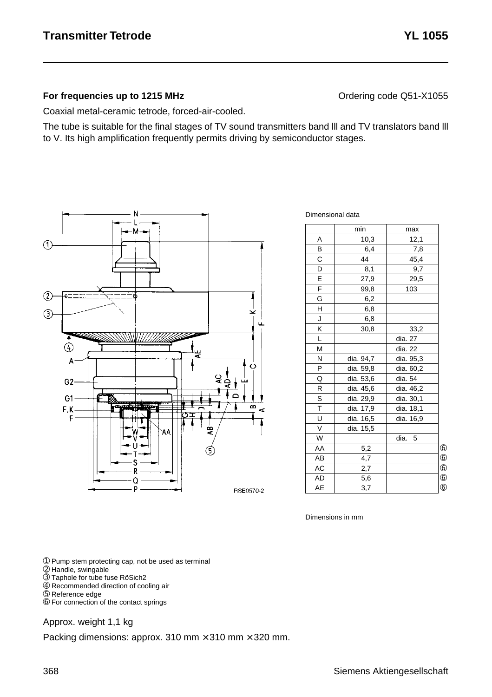#### **For frequencies up to 1215 MHz Contact According Code CONTER CONTERNATION** Ordering code Q51-X1055

Coaxial metal-ceramic tetrode, forced-air-cooled.

The tube is suitable for the final stages of TV sound transmitters band lll and TV translators band lll to V. Its high amplification frequently permits driving by semiconductor stages.



Dimensional data

|                         | min       | max       |            |
|-------------------------|-----------|-----------|------------|
| A                       | 10,3      | 12,1      |            |
| B                       | 6,4       | 7,8       |            |
| C                       | 44        | 45,4      |            |
| D                       | 8,1       | 9,7       |            |
| E                       | 27,9      | 29,5      |            |
| F                       | 99,8      | 103       |            |
| G                       | 6,2       |           |            |
| H                       | 6,8       |           |            |
| J                       | 6,8       |           |            |
| Κ                       | 30,8      | 33,2      |            |
| L                       |           | dia. 27   |            |
| M                       |           | dia. 22   |            |
| N                       | dia. 94,7 | dia. 95,3 |            |
| P                       | dia. 59,8 | dia. 60,2 |            |
| Q                       | dia. 53,6 | dia. 54   |            |
| R                       | dia. 45,6 | dia. 46,2 |            |
| S                       | dia. 29,9 | dia. 30,1 |            |
| $\overline{\mathsf{T}}$ | dia. 17,9 | dia. 18,1 |            |
| U                       | dia. 16,5 | dia. 16,9 |            |
| $\vee$                  | dia. 15,5 |           |            |
| W                       |           | dia.<br>5 |            |
| AA                      | 5,2       |           | $^{\circ}$ |
| AB                      | 4,7       |           | $^{\circ}$ |
| AC                      | 2,7       |           | $6$        |
| <b>AD</b>               | 5,6       |           | $^{\circ}$ |
| AE                      | 3,7       |           | $6$        |

Dimensions in mm

➀ Pump stem protecting cap, not be used as terminal

- ➁ Handle, swingable
- ➂ Taphole for tube fuse RöSich2
- ➃ Recommended direction of cooling air
- ➄ Reference edge
- ➅ For connection of the contact springs

#### Approx. weight 1,1 kg

Packing dimensions: approx. 310 mm  $\times$  310 mm  $\times$  320 mm.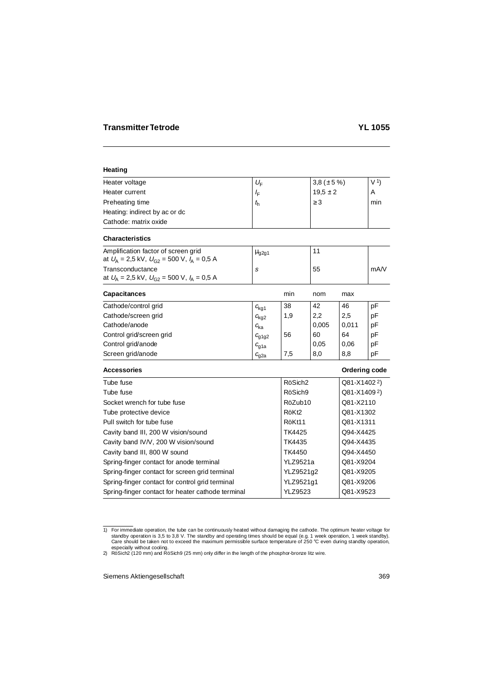# **Heating**

| Heater voltage                | $U_{\rm F}$ | 3,8 ( $\pm$ 5 %) | V <sub>1</sub> |
|-------------------------------|-------------|------------------|----------------|
| Heater current                | ΙF          | $19.5 \pm 2$     | A              |
| Preheating time               | $t_{h}$     | $\geq$ 3         | min            |
| Heating: indirect by ac or dc |             |                  |                |
| Cathode: matrix oxide         |             |                  |                |

# **Characteristics**

| Amplification factor of screen grid<br>at $U_{\rm A} = 2.5 \text{ kV}$ , $U_{\rm C2} = 500 \text{ V}$ , $I_{\rm A} = 0.5 \text{ A}$ | $\mu$ <sub>g2g1</sub> |    |      |
|-------------------------------------------------------------------------------------------------------------------------------------|-----------------------|----|------|
| Transconductance<br>at $U_{A} = 2.5$ kV, $U_{G2} = 500$ V, $I_{A} = 0.5$ A                                                          |                       | 55 | mA/V |

| <b>Capacitances</b>      |                  | min | nom   | max   |    |
|--------------------------|------------------|-----|-------|-------|----|
| Cathode/control grid     | $c_{\text{kq1}}$ | 38  | 42    | 46    | рF |
| Cathode/screen grid      | $c_{\text{kq2}}$ | 1,9 | 2,2   | 2,5   | pF |
| Cathode/anode            | $c_{\rm ka}$     |     | 0,005 | 0,011 | рF |
| Control grid/screen grid | $c_{q1q2}$       | 56  | 60    | 64    | рF |
| Control grid/anode       | $c_{\rm g1a}$    |     | 0,05  | 0.06  | pF |
| Screen grid/anode        | $c_{\rm g2a}$    | 7,5 | 8,0   | 8,8   | pF |

#### **Accessories Contract Contract Contract Contract Contract Contract Contract Contract Contract Contract Contract Contract Contract Contract Contract Contract Contract Contract Contract Contract Contract Contract Contract Co**

| Tube fuse                                         | RöSich <sub>2</sub> | Q81-X14022)              |
|---------------------------------------------------|---------------------|--------------------------|
| Tube fuse                                         | RöSich9             | Q81-X1409 <sup>2</sup> ) |
| Socket wrench for tube fuse                       | RöZub10             | Q81-X2110                |
| Tube protective device                            | RöKt <sub>2</sub>   | Q81-X1302                |
| Pull switch for tube fuse                         | RöKt11              | Q81-X1311                |
| Cavity band III, 200 W vision/sound               | TK4425              | Q94-X4425                |
| Cavity band IV/V, 200 W vision/sound              | TK4435              | Q94-X4435                |
| Cavity band III, 800 W sound                      | TK4450              | Q94-X4450                |
| Spring-finger contact for anode terminal          | <b>YLZ9521a</b>     | Q81-X9204                |
| Spring-finger contact for screen grid terminal    | YLZ9521g2           | Q81-X9205                |
| Spring-finger contact for control grid terminal   | YLZ9521g1           | Q81-X9206                |
| Spring-finger contact for heater cathode terminal | <b>YLZ9523</b>      | Q81-X9523                |
|                                                   |                     |                          |

for immediate operation, the tube can be continuously heated without damaging the cathode. The optimum heater voltage for \$1,8 V. The standby and operating times should be equal (e.g. 1 week operation, 1 week standby). Care should be taken not to exceed the maximum permissible surface temperature of 250 °C even during standby operation, especially without cooling.

<sup>2)</sup> RöSich2 (120 mm) and RöSich9 (25 mm) only differ in the length of the phosphor-bronze litz wire.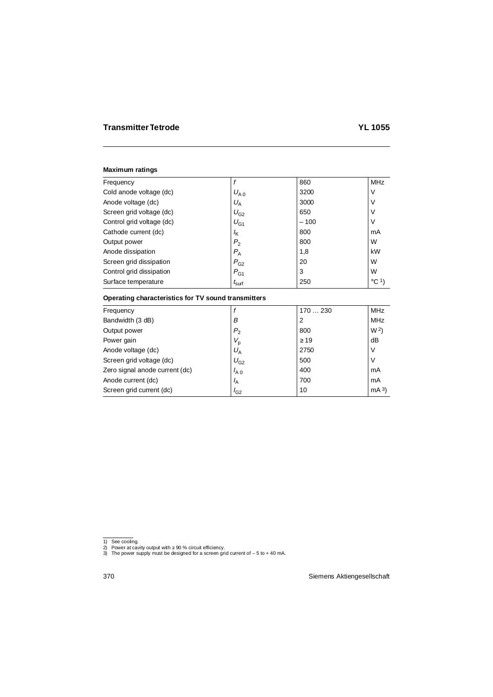| Frequency                 |                     | 860    | <b>MHz</b>      |
|---------------------------|---------------------|--------|-----------------|
| Cold anode voltage (dc)   | $U_{A,0}$           | 3200   | V               |
| Anode voltage (dc)        | $U_{\rm A}$         | 3000   | ν               |
| Screen grid voltage (dc)  | $U_{G2}$            | 650    | ν               |
| Control grid voltage (dc) | $U_{G1}$            | $-100$ | ٧               |
| Cathode current (dc)      | $I_{\mathsf{K}}$    | 800    | mA              |
| Output power              | P <sub>2</sub>      | 800    | W               |
| Anode dissipation         | $P_{A}$             | 1,8    | kW              |
| Screen grid dissipation   | $P_{G2}$            | 20     | W               |
| Control grid dissipation  | $P_{G1}$            | 3      | W               |
| Surface temperature       | $t_{\mathsf{surf}}$ | 250    | $^{\circ}$ C 1) |
|                           |                     |        |                 |

# **Operating characteristics for TV sound transmitters**

| Frequency                      |                | 170  230  | MHz             |
|--------------------------------|----------------|-----------|-----------------|
| Bandwidth (3 dB)               | В              | 2         | <b>MHz</b>      |
| Output power                   | P <sub>2</sub> | 800       | W <sup>2</sup>  |
| Power gain                     | $V_{\sf p}$    | $\geq$ 19 | dB              |
| Anode voltage (dc)             | $U_{\rm A}$    | 2750      | V               |
| Screen grid voltage (dc)       | $U_{G2}$       | 500       | V               |
| Zero signal anode current (dc) | $I_{A,0}$      | 400       | mA              |
| Anode current (dc)             | $I_A$          | 700       | mA              |
| Screen grid current (dc)       | $I_{G2}$       | 10        | mA <sup>3</sup> |

<sup>1)</sup> See cooling.

<sup>2)</sup> Power at cavity output with ≥ 90 % circuit efficiency. 3) The power supply must be designed for a screen grid current of – 5 to + 40 mA.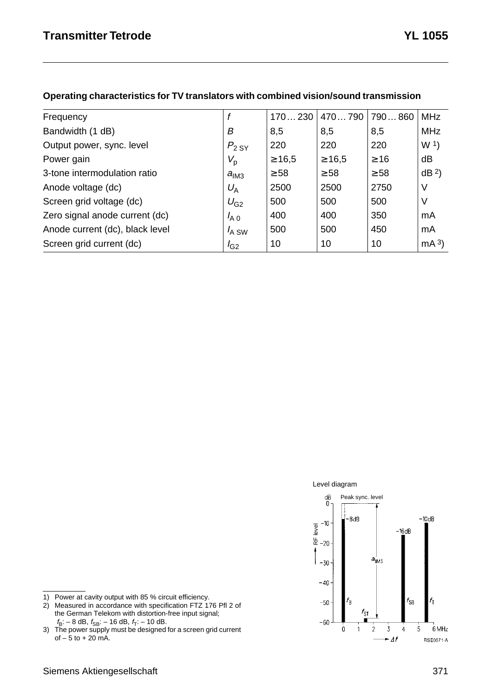| Frequency                       |                  | 170230      | 470790      | 790860    | <b>MHz</b>      |
|---------------------------------|------------------|-------------|-------------|-----------|-----------------|
| Bandwidth (1 dB)                | В                | 8,5         | 8,5         | 8,5       | <b>MHz</b>      |
| Output power, sync. level       | $P_{2,SY}$       | 220         | 220         | 220       | W <sub>1</sub>  |
| Power gain                      | $V_{\sf p}$      | $\geq 16.5$ | $\geq 16.5$ | $\geq 16$ | dB              |
| 3-tone intermodulation ratio    | a <sub>IM3</sub> | $\geq 58$   | $\geq$ 58   | $\geq$ 58 | dB <sup>2</sup> |
| Anode voltage (dc)              | $U_{\rm A}$      | 2500        | 2500        | 2750      | V               |
| Screen grid voltage (dc)        | $U_{G2}$         | 500         | 500         | 500       | V               |
| Zero signal anode current (dc)  | $I_{A,0}$        | 400         | 400         | 350       | mA              |
| Anode current (dc), black level | $I_A$ SW         | 500         | 500         | 450       | mA              |
| Screen grid current (dc)        | $I_{G2}$         | 10          | 10          | 10        | mA <sup>3</sup> |
|                                 |                  |             |             |           |                 |

#### **Operating characteristics for TV translators with combined vision/sound transmission**





- 1) Power at cavity output with 85 % circuit efficiency.
- 2) Measured in accordance with specification FTZ 176 Pfl 2 of the German Telekom with distortion-free input signal;

 $f_{\rm B}$ : – 8 dB,  $f_{\rm SB}$ : – 16 dB,  $f_{\rm T}$ : – 10 dB.<br>3) The power supply must be designed for a screen grid current of  $-5$  to  $+20$  mA.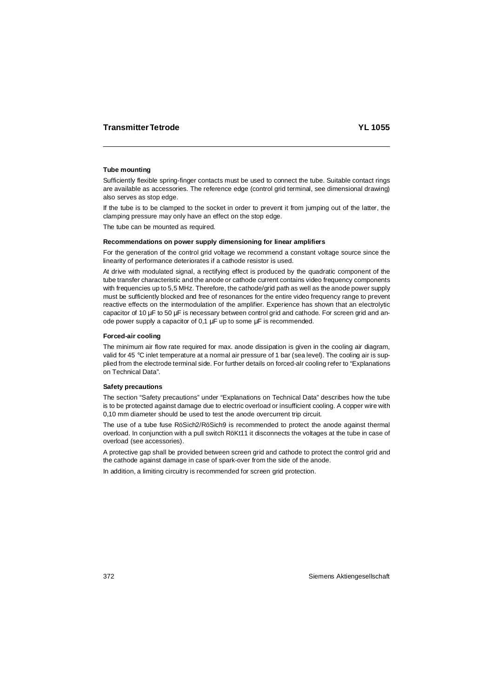# **Tube mounting**

Sufficiently flexible spring-finger contacts must be used to connect the tube. Suitable contact rings are available as accessories. The reference edge (control grid terminal, see dimensional drawing) also serves as stop edge.

If the tube is to be clamped to the socket in order to prevent it from jumping out of the latter, the clamping pressure may only have an effect on the stop edge.

The tube can be mounted as required.

#### **Recommendations on power supply dimensioning for linear amplifiers**

For the generation of the control grid voltage we recommend a constant voltage source since the linearity of performance deteriorates if a cathode resistor is used.

At drive with modulated signal, a rectifying effect is produced by the quadratic component of the tube transfer characteristic and the anode or cathode current contains video frequency components with frequencies up to 5,5 MHz. Therefore, the cathode/grid path as well as the anode power supply must be sufficiently blocked and free of resonances for the entire video frequency range to prevent reactive effects on the intermodulation of the amplifier. Experience has shown that an electrolytic capacitor of 10  $\mu$ F to 50  $\mu$ F is necessary between control grid and cathode. For screen grid and anode power supply a capacitor of 0,1 µF up to some µF is recommended.

# **Forced-air cooling**

The minimum air flow rate required for max. anode dissipation is given in the cooling air diagram, valid for 45 °C inlet temperature at a normal air pressure of 1 bar (sea level). The cooling air is supplied from the electrode terminal side. For further details on forced-alr cooling refer to "Explanations on Technical Data".

# **Safety precautions**

The section "Safety precautions" under "Explanations on Technical Data" describes how the tube is to be protected against damage due to electric overload or insufficient cooling. A copper wire with 0,10 mm diameter should be used to test the anode overcurrent trip circuit.

The use of a tube fuse RöSich2/RöSich9 is recommended to protect the anode against thermal overload. In conjunction with a pull switch RöKt11 it disconnects the voltages at the tube in case of overload (see accessories).

A protective gap shall be provided between screen grid and cathode to protect the control grid and the cathode against damage in case of spark-over from the side of the anode.

In addition, a limiting circuitry is recommended for screen grid protection.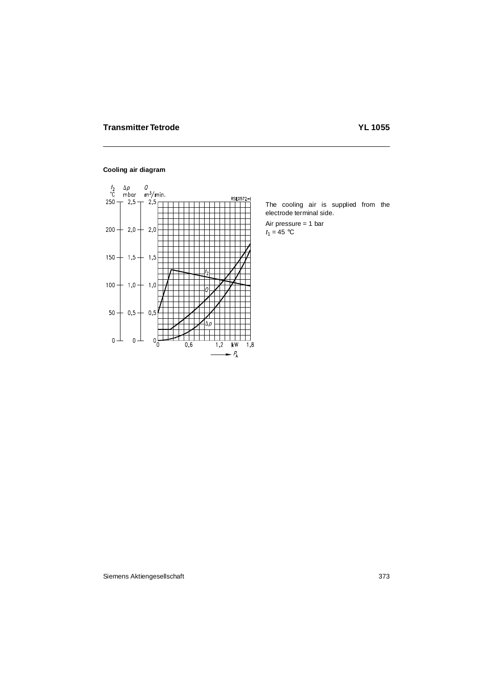# **Cooling air diagram**



The cooling air is supplied from the electrode terminal side.

Air pressure = 1 bar  $t_1 = 45$  °C